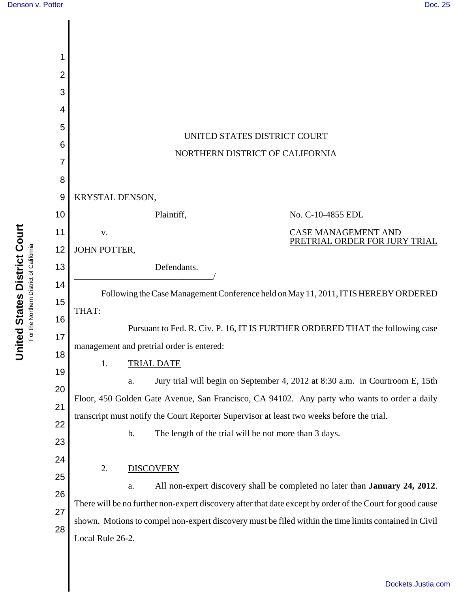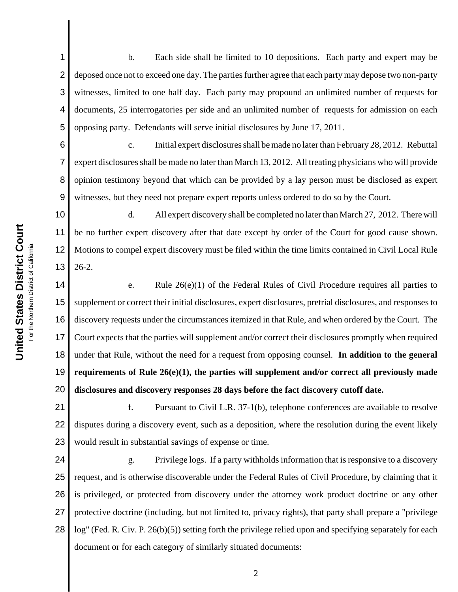7

1 2 3 4 5 b. Each side shall be limited to 10 depositions. Each party and expert may be deposed once not to exceed one day. The parties further agree that each party may depose two non-party witnesses, limited to one half day. Each party may propound an unlimited number of requests for documents, 25 interrogatories per side and an unlimited number of requests for admission on each opposing party. Defendants will serve initial disclosures by June 17, 2011.

6 8 9 c. Initial expert disclosures shall be made no later than February 28, 2012. Rebuttal expert disclosures shall be made no later than March 13, 2012. All treating physicians who will provide opinion testimony beyond that which can be provided by a lay person must be disclosed as expert witnesses, but they need not prepare expert reports unless ordered to do so by the Court.

10 11 12 13 d. All expert discovery shall be completed no later than March 27, 2012. There will be no further expert discovery after that date except by order of the Court for good cause shown. Motions to compel expert discovery must be filed within the time limits contained in Civil Local Rule 26-2.

14 15 16 17 18 19 20 e. Rule 26(e)(1) of the Federal Rules of Civil Procedure requires all parties to supplement or correct their initial disclosures, expert disclosures, pretrial disclosures, and responses to discovery requests under the circumstances itemized in that Rule, and when ordered by the Court. The Court expects that the parties will supplement and/or correct their disclosures promptly when required under that Rule, without the need for a request from opposing counsel. **In addition to the general requirements of Rule 26(e)(1), the parties will supplement and/or correct all previously made disclosures and discovery responses 28 days before the fact discovery cutoff date.** 

21 22 23 f. Pursuant to Civil L.R. 37-1(b), telephone conferences are available to resolve disputes during a discovery event, such as a deposition, where the resolution during the event likely would result in substantial savings of expense or time.

24 25 26 27 28 g. Privilege logs. If a party withholds information that is responsive to a discovery request, and is otherwise discoverable under the Federal Rules of Civil Procedure, by claiming that it is privileged, or protected from discovery under the attorney work product doctrine or any other protective doctrine (including, but not limited to, privacy rights), that party shall prepare a "privilege log" (Fed. R. Civ. P. 26(b)(5)) setting forth the privilege relied upon and specifying separately for each document or for each category of similarly situated documents: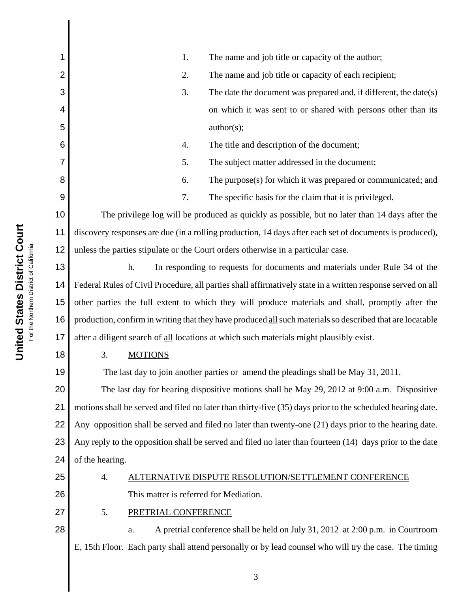| The name and job title or capacity of the author;<br>1.                                                     |  |  |  |  |  |  |  |
|-------------------------------------------------------------------------------------------------------------|--|--|--|--|--|--|--|
| 2.<br>The name and job title or capacity of each recipient;                                                 |  |  |  |  |  |  |  |
| 3.<br>The date the document was prepared and, if different, the date(s)                                     |  |  |  |  |  |  |  |
| on which it was sent to or shared with persons other than its                                               |  |  |  |  |  |  |  |
| author(s);                                                                                                  |  |  |  |  |  |  |  |
| The title and description of the document;<br>4.                                                            |  |  |  |  |  |  |  |
| 5.<br>The subject matter addressed in the document;                                                         |  |  |  |  |  |  |  |
| The purpose(s) for which it was prepared or communicated; and<br>6.                                         |  |  |  |  |  |  |  |
| 7.<br>The specific basis for the claim that it is privileged.                                               |  |  |  |  |  |  |  |
| 10<br>The privilege log will be produced as quickly as possible, but no later than 14 days after the        |  |  |  |  |  |  |  |
| discovery responses are due (in a rolling production, 14 days after each set of documents is produced),     |  |  |  |  |  |  |  |
| unless the parties stipulate or the Court orders otherwise in a particular case.                            |  |  |  |  |  |  |  |
| h.<br>In responding to requests for documents and materials under Rule 34 of the                            |  |  |  |  |  |  |  |
| Federal Rules of Civil Procedure, all parties shall affirmatively state in a written response served on all |  |  |  |  |  |  |  |
| other parties the full extent to which they will produce materials and shall, promptly after the            |  |  |  |  |  |  |  |
| production, confirm in writing that they have produced all such materials so described that are locatable   |  |  |  |  |  |  |  |
| after a diligent search of all locations at which such materials might plausibly exist.                     |  |  |  |  |  |  |  |
| 3.<br><b>MOTIONS</b>                                                                                        |  |  |  |  |  |  |  |
| The last day to join another parties or amend the pleadings shall be May 31, 2011.                          |  |  |  |  |  |  |  |
| 20<br>The last day for hearing dispositive motions shall be May 29, 2012 at 9:00 a.m. Dispositive           |  |  |  |  |  |  |  |
| motions shall be served and filed no later than thirty-five (35) days prior to the scheduled hearing date.  |  |  |  |  |  |  |  |
| Any opposition shall be served and filed no later than twenty-one $(21)$ days prior to the hearing date.    |  |  |  |  |  |  |  |
| Any reply to the opposition shall be served and filed no later than fourteen (14) days prior to the date    |  |  |  |  |  |  |  |
| of the hearing.<br>24                                                                                       |  |  |  |  |  |  |  |
| ALTERNATIVE DISPUTE RESOLUTION/SETTLEMENT CONFERENCE<br>4.                                                  |  |  |  |  |  |  |  |
| This matter is referred for Mediation.                                                                      |  |  |  |  |  |  |  |
| 5.<br>PRETRIAL CONFERENCE                                                                                   |  |  |  |  |  |  |  |
| A pretrial conference shall be held on July 31, 2012 at 2:00 p.m. in Courtroom<br>a.                        |  |  |  |  |  |  |  |
| E, 15th Floor. Each party shall attend personally or by lead counsel who will try the case. The timing      |  |  |  |  |  |  |  |
|                                                                                                             |  |  |  |  |  |  |  |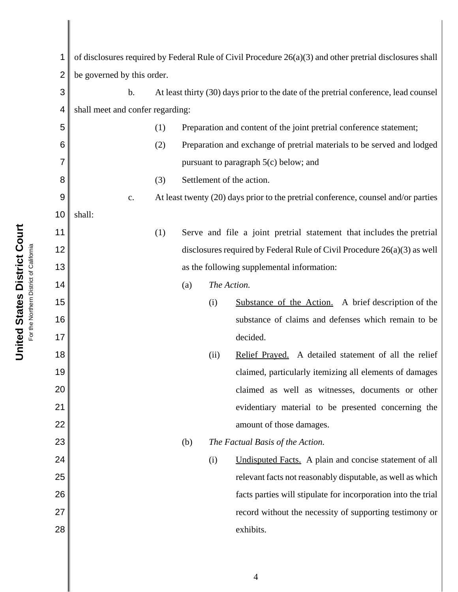| 1  | of disclosures required by Federal Rule of Civil Procedure $26(a)(3)$ and other pretrial disclosures shall |                                         |     |                                                                                      |      |                                                                      |  |
|----|------------------------------------------------------------------------------------------------------------|-----------------------------------------|-----|--------------------------------------------------------------------------------------|------|----------------------------------------------------------------------|--|
| 2  | be governed by this order.                                                                                 |                                         |     |                                                                                      |      |                                                                      |  |
| 3  |                                                                                                            | $\mathbf b$ .                           |     | At least thirty (30) days prior to the date of the pretrial conference, lead counsel |      |                                                                      |  |
| 4  | shall meet and confer regarding:                                                                           |                                         |     |                                                                                      |      |                                                                      |  |
| 5  |                                                                                                            |                                         | (1) | Preparation and content of the joint pretrial conference statement;                  |      |                                                                      |  |
| 6  |                                                                                                            |                                         | (2) | Preparation and exchange of pretrial materials to be served and lodged               |      |                                                                      |  |
|    |                                                                                                            |                                         |     | pursuant to paragraph 5(c) below; and                                                |      |                                                                      |  |
| 8  |                                                                                                            |                                         | (3) | Settlement of the action.                                                            |      |                                                                      |  |
| 9  |                                                                                                            | c.                                      |     | At least twenty (20) days prior to the pretrial conference, counsel and/or parties   |      |                                                                      |  |
| 10 | shall:                                                                                                     |                                         |     |                                                                                      |      |                                                                      |  |
| 11 |                                                                                                            |                                         | (1) |                                                                                      |      | Serve and file a joint pretrial statement that includes the pretrial |  |
| 12 |                                                                                                            |                                         |     | disclosures required by Federal Rule of Civil Procedure $26(a)(3)$ as well           |      |                                                                      |  |
| 13 |                                                                                                            |                                         |     | as the following supplemental information:                                           |      |                                                                      |  |
| 14 |                                                                                                            |                                         |     | The Action.<br>(a)                                                                   |      |                                                                      |  |
| 15 |                                                                                                            |                                         |     |                                                                                      | (i)  | Substance of the Action. A brief description of the                  |  |
| 16 |                                                                                                            |                                         |     |                                                                                      |      | substance of claims and defenses which remain to be                  |  |
| 17 |                                                                                                            |                                         |     |                                                                                      |      | decided.                                                             |  |
| 18 |                                                                                                            |                                         |     |                                                                                      | (ii) | Relief Prayed. A detailed statement of all the relief                |  |
| 19 |                                                                                                            |                                         |     |                                                                                      |      | claimed, particularly itemizing all elements of damages              |  |
| 20 |                                                                                                            |                                         |     |                                                                                      |      | claimed as well as witnesses, documents or other                     |  |
| 21 |                                                                                                            |                                         |     |                                                                                      |      | evidentiary material to be presented concerning the                  |  |
| 22 |                                                                                                            |                                         |     |                                                                                      |      | amount of those damages.                                             |  |
| 23 |                                                                                                            | (b)<br>The Factual Basis of the Action. |     |                                                                                      |      |                                                                      |  |
| 24 |                                                                                                            |                                         |     |                                                                                      | (i)  | Undisputed Facts. A plain and concise statement of all               |  |
| 25 |                                                                                                            |                                         |     |                                                                                      |      | relevant facts not reasonably disputable, as well as which           |  |
| 26 |                                                                                                            |                                         |     |                                                                                      |      | facts parties will stipulate for incorporation into the trial        |  |
| 27 |                                                                                                            |                                         |     |                                                                                      |      | record without the necessity of supporting testimony or              |  |
| 28 |                                                                                                            |                                         |     |                                                                                      |      | exhibits.                                                            |  |
|    |                                                                                                            |                                         |     |                                                                                      |      |                                                                      |  |

United States District Court **United States District Court** For the Northern District of California For the Northern District of California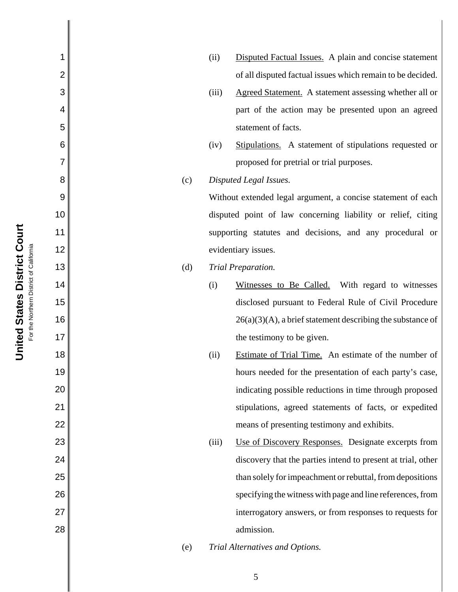|     | (ii)  | Disputed Factual Issues. A plain and concise statement        |
|-----|-------|---------------------------------------------------------------|
|     |       | of all disputed factual issues which remain to be decided.    |
|     | (iii) | Agreed Statement. A statement assessing whether all or        |
|     |       | part of the action may be presented upon an agreed            |
|     |       | statement of facts.                                           |
|     | (iv)  | Stipulations. A statement of stipulations requested or        |
|     |       | proposed for pretrial or trial purposes.                      |
| (c) |       | Disputed Legal Issues.                                        |
|     |       | Without extended legal argument, a concise statement of each  |
|     |       | disputed point of law concerning liability or relief, citing  |
|     |       | supporting statutes and decisions, and any procedural or      |
|     |       | evidentiary issues.                                           |
| (d) |       | Trial Preparation.                                            |
|     | (i)   | Witnesses to Be Called. With regard to witnesses              |
|     |       | disclosed pursuant to Federal Rule of Civil Procedure         |
|     |       | $26(a)(3)(A)$ , a brief statement describing the substance of |
|     |       | the testimony to be given.                                    |
|     | (ii)  | Estimate of Trial Time. An estimate of the number of          |
|     |       | hours needed for the presentation of each party's case,       |
|     |       | indicating possible reductions in time through proposed       |
|     |       | stipulations, agreed statements of facts, or expedited        |
|     |       | means of presenting testimony and exhibits.                   |
|     | (iii) | Use of Discovery Responses. Designate excerpts from           |
|     |       | discovery that the parties intend to present at trial, other  |
|     |       | than solely for impeachment or rebuttal, from depositions     |
|     |       | specifying the witness with page and line references, from    |
|     |       | interrogatory answers, or from responses to requests for      |
|     |       | admission.                                                    |
| (e) |       | Trial Alternatives and Options.                               |

1

2

3

4

5

6

7

8

9

10

11

12

13

14

15

16

17

18

19

20

21

22

23

24

25

26

27

28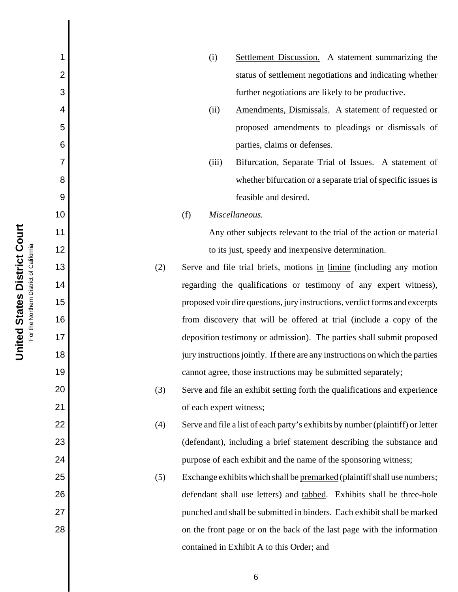| 1              |     | (i)                                                                         | Settlement Discussion. A statement summarizing the                             |  |  |
|----------------|-----|-----------------------------------------------------------------------------|--------------------------------------------------------------------------------|--|--|
| $\overline{2}$ |     |                                                                             | status of settlement negotiations and indicating whether                       |  |  |
| 3              |     |                                                                             | further negotiations are likely to be productive.                              |  |  |
| 4              |     | (ii)                                                                        | Amendments, Dismissals. A statement of requested or                            |  |  |
| 5              |     |                                                                             | proposed amendments to pleadings or dismissals of                              |  |  |
| 6              |     |                                                                             | parties, claims or defenses.                                                   |  |  |
| 7              |     | (iii)                                                                       | Bifurcation, Separate Trial of Issues. A statement of                          |  |  |
| 8              |     |                                                                             | whether bifurcation or a separate trial of specific issues is                  |  |  |
| 9              |     |                                                                             | feasible and desired.                                                          |  |  |
| 10             |     | (f)                                                                         | Miscellaneous.                                                                 |  |  |
| 11             |     |                                                                             | Any other subjects relevant to the trial of the action or material             |  |  |
| 12             |     | to its just, speedy and inexpensive determination.                          |                                                                                |  |  |
| 13             | (2) |                                                                             | Serve and file trial briefs, motions in limine (including any motion           |  |  |
| 14             |     | regarding the qualifications or testimony of any expert witness),           |                                                                                |  |  |
| 15             |     | proposed voir dire questions, jury instructions, verdict forms and excerpts |                                                                                |  |  |
| 16             |     | from discovery that will be offered at trial (include a copy of the         |                                                                                |  |  |
| 17             |     |                                                                             | deposition testimony or admission). The parties shall submit proposed          |  |  |
| 18             |     |                                                                             | jury instructions jointly. If there are any instructions on which the parties  |  |  |
| 19             |     |                                                                             | cannot agree, those instructions may be submitted separately;                  |  |  |
| 20             | (3) |                                                                             | Serve and file an exhibit setting forth the qualifications and experience      |  |  |
| 21             |     | of each expert witness;                                                     |                                                                                |  |  |
| 22             | (4) |                                                                             | Serve and file a list of each party's exhibits by number (plaintiff) or letter |  |  |
| 23             |     |                                                                             | (defendant), including a brief statement describing the substance and          |  |  |
| 24             |     |                                                                             | purpose of each exhibit and the name of the sponsoring witness;                |  |  |
| 25             | (5) |                                                                             | Exchange exhibits which shall be premarked (plaintiff shall use numbers;       |  |  |
| 26             |     |                                                                             | defendant shall use letters) and tabbed. Exhibits shall be three-hole          |  |  |
| 27             |     |                                                                             | punched and shall be submitted in binders. Each exhibit shall be marked        |  |  |
| 28             |     |                                                                             | on the front page or on the back of the last page with the information         |  |  |
|                |     |                                                                             | contained in Exhibit A to this Order; and                                      |  |  |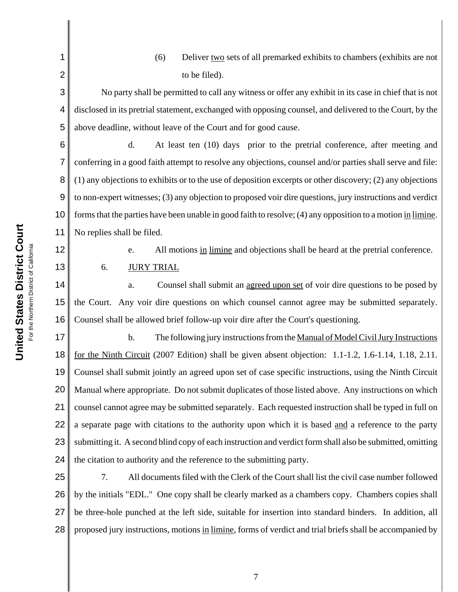(6) Deliver two sets of all premarked exhibits to chambers (exhibits are not to be filed).

No party shall be permitted to call any witness or offer any exhibit in its case in chief that is not disclosed in its pretrial statement, exchanged with opposing counsel, and delivered to the Court, by the above deadline, without leave of the Court and for good cause.

6 7 8 9 10 11 d. At least ten (10) days prior to the pretrial conference, after meeting and conferring in a good faith attempt to resolve any objections, counsel and/or parties shall serve and file: (1) any objections to exhibits or to the use of deposition excerpts or other discovery; (2) any objections to non-expert witnesses; (3) any objection to proposed voir dire questions, jury instructions and verdict forms that the parties have been unable in good faith to resolve; (4) any opposition to a motion in limine. No replies shall be filed.

12

13

1

2

3

4

5

e. All motions in limine and objections shall be heard at the pretrial conference.

6. JURY TRIAL

14 15 16 a. Counsel shall submit an agreed upon set of voir dire questions to be posed by the Court. Any voir dire questions on which counsel cannot agree may be submitted separately. Counsel shall be allowed brief follow-up voir dire after the Court's questioning.

17 18 19 20 21 22 23 24 b. The following jury instructions from the Manual of Model Civil Jury Instructions for the Ninth Circuit (2007 Edition) shall be given absent objection: 1.1-1.2, 1.6-1.14, 1.18, 2.11. Counsel shall submit jointly an agreed upon set of case specific instructions, using the Ninth Circuit Manual where appropriate. Do not submit duplicates of those listed above. Any instructions on which counsel cannot agree may be submitted separately. Each requested instruction shall be typed in full on a separate page with citations to the authority upon which it is based and a reference to the party submitting it. A second blind copy of each instruction and verdict form shall also be submitted, omitting the citation to authority and the reference to the submitting party.

25 26 27 28 7. All documents filed with the Clerk of the Court shall list the civil case number followed by the initials "EDL." One copy shall be clearly marked as a chambers copy. Chambers copies shall be three-hole punched at the left side, suitable for insertion into standard binders. In addition, all proposed jury instructions, motions in limine, forms of verdict and trial briefs shall be accompanied by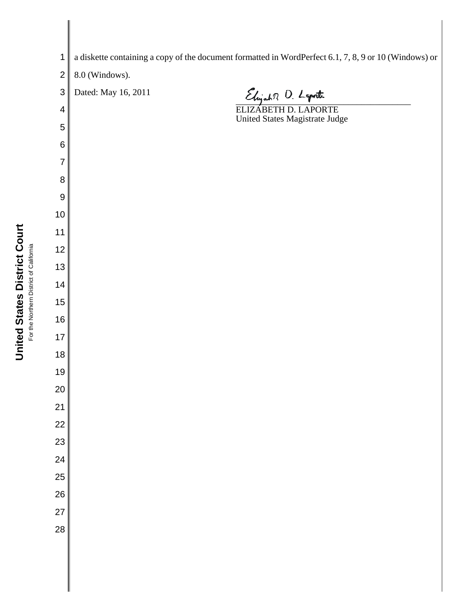**United States District Court United States District Court** For the Northern District of California For the Northern District of California

 a diskette containing a copy of the document formatted in WordPerfect 6.1, 7, 8, 9 or 10 (Windows) or 8.0 (Windows). Dated: May 16, 2011 Elijah R O. Laporte ELIZABETH D. LAPORTE United States Magistrate Judge